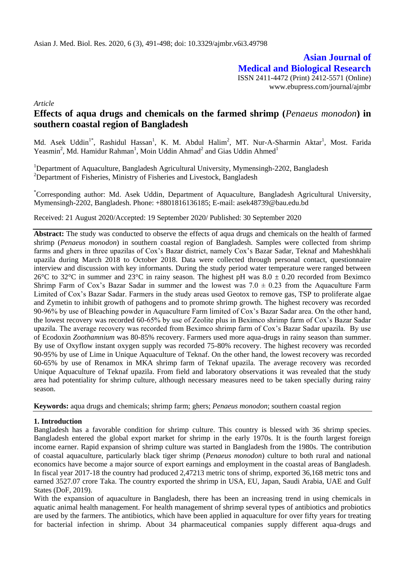**Asian Journal of Medical and Biological Research**

ISSN 2411-4472 (Print) 2412-5571 (Online) www.ebupress.com/journal/ajmbr

*Article*

# **Effects of aqua drugs and chemicals on the farmed shrimp (***Penaeus monodon***) in southern coastal region of Bangladesh**

Md. Asek Uddin<sup>1\*</sup>, Rashidul Hassan<sup>1</sup>, K. M. Abdul Halim<sup>2</sup>, MT. Nur-A-Sharmin Aktar<sup>1</sup>, Most. Farida Yeasmin<sup>2</sup>, Md. Hamidur Rahman<sup>1</sup>, Moin Uddin Ahmad<sup>2</sup> and Gias Uddin Ahmed<sup>1</sup>

<sup>1</sup>Department of Aquaculture, Bangladesh Agricultural University, Mymensingh-2202, Bangladesh <sup>2</sup>Department of Fisheries, Ministry of Fisheries and Livestock, Bangladesh

\*Corresponding author: Md. Asek Uddin, Department of Aquaculture, Bangladesh Agricultural University, Mymensingh-2202, Bangladesh. Phone: +8801816136185; E-mail: asek48739@bau.edu.bd

Received: 21 August 2020/Accepted: 19 September 2020/ Published: 30 September 2020

**Abstract:** The study was conducted to observe the effects of aqua drugs and chemicals on the health of farmed shrimp (*Penaeus monodon*) in southern coastal region of Bangladesh. Samples were collected from shrimp farms and ghers in three upazilas of Cox's Bazar district, namely Cox's Bazar Sadar, Teknaf and Maheshkhali upazila during March 2018 to October 2018. Data were collected through personal contact, questionnaire interview and discussion with key informants. During the study period water temperature were ranged between 26°C to 32°C in summer and 23°C in rainy season. The highest pH was  $8.0 \pm 0.20$  recorded from Beximco Shrimp Farm of Cox's Bazar Sadar in summer and the lowest was  $7.0 \pm 0.23$  from the Aquaculture Farm Limited of Cox's Bazar Sadar. Farmers in the study areas used Geotox to remove gas, TSP to proliferate algae and Zymetin to inhibit growth of pathogens and to promote shrimp growth. The highest recovery was recorded 90-96% by use of Bleaching powder in Aquaculture Farm limited of Cox's Bazar Sadar area. On the other hand, the lowest recovery was recorded 60-65% by use of Zeolite plus in Beximco shrimp farm of Cox's Bazar Sadar upazila. The average recovery was recorded from Beximco shrimp farm of Cox's Bazar Sadar upazila. By use of Ecodoxin *Zoothamnium* was 80-85% recovery. Farmers used more aqua-drugs in rainy season than summer. By use of Oxyflow instant oxygen supply was recorded 75-80% recovery. The highest recovery was recorded 90-95% by use of Lime in Unique Aquaculture of Teknaf. On the other hand, the lowest recovery was recorded 60-65% by use of Renamox in MKA shrimp farm of Teknaf upazila. The average recovery was recorded Unique Aquaculture of Teknaf upazila. From field and laboratory observations it was revealed that the study area had potentiality for shrimp culture, although necessary measures need to be taken specially during rainy season.

**Keywords:** aqua drugs and chemicals; shrimp farm; ghers; *Penaeus monodon*; southern coastal region

## **1. Introduction**

Bangladesh has a favorable condition for shrimp culture. This country is blessed with 36 shrimp species. Bangladesh entered the global export market for shrimp in the early 1970s. It is the fourth largest foreign income earner. Rapid expansion of shrimp culture was started in Bangladesh from the 1980s. The contribution of coastal aquaculture, particularly black tiger shrimp (*Penaeus monodon*) culture to both rural and national economics have become a major source of export earnings and employment in the coastal areas of Bangladesh. In fiscal year 2017-18 the country had produced 2,47213 metric tons of shrimp, exported 36,168 metric tons and earned 3527.07 crore Taka. The country exported the shrimp in USA, EU, Japan, Saudi Arabia, UAE and Gulf States (DoF, 2019).

With the expansion of aquaculture in Bangladesh, there has been an increasing trend in using chemicals in aquatic animal health management. For health management of shrimp several types of antibiotics and probiotics are used by the farmers. The antibiotics, which have been applied in aquaculture for over fifty years for treating for bacterial infection in shrimp. About 34 pharmaceutical companies supply different aqua-drugs and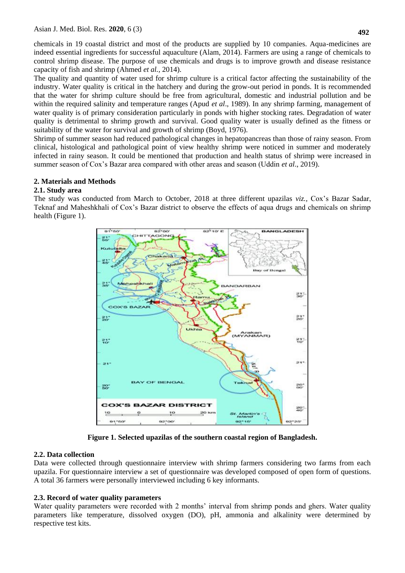chemicals in 19 coastal district and most of the products are supplied by 10 companies. Aqua-medicines are indeed essential ingredients for successful aquaculture (Alam, 2014). Farmers are using a range of chemicals to control shrimp disease. The purpose of use chemicals and drugs is to improve growth and disease resistance capacity of fish and shrimp (Ahmed *et al.,* 2014).

The quality and quantity of water used for shrimp culture is a critical factor affecting the sustainability of the industry. Water quality is critical in the hatchery and during the grow-out period in ponds. It is recommended that the water for shrimp culture should be free from agricultural, domestic and industrial pollution and be within the required salinity and temperature ranges (Apud *et al*., 1989). In any shrimp farming, management of water quality is of primary consideration particularly in ponds with higher stocking rates. Degradation of water quality is detrimental to shrimp growth and survival. Good quality water is usually defined as the fitness or suitability of the water for survival and growth of shrimp (Boyd, 1976).

Shrimp of summer season had reduced pathological changes in hepatopancreas than those of rainy season. From clinical, histological and pathological point of view healthy shrimp were noticed in summer and moderately infected in rainy season. It could be mentioned that production and health status of shrimp were increased in summer season of Cox's Bazar area compared with other areas and season (Uddin *et al*., 2019).

## **2. Materials and Methods**

### **2.1. Study area**

The study was conducted from March to October, 2018 at three different upazilas *viz.,* Cox's Bazar Sadar, Teknaf and Maheshkhali of Cox's Bazar district to observe the effects of aqua drugs and chemicals on shrimp health (Figure 1).



**Figure 1. Selected upazilas of the southern coastal region of Bangladesh.**

## **2.2. Data collection**

Data were collected through questionnaire interview with shrimp farmers considering two farms from each upazila. For questionnaire interview a set of questionnaire was developed composed of open form of questions. A total 36 farmers were personally interviewed including 6 key informants.

## **2.3. Record of water quality parameters**

Water quality parameters were recorded with 2 months' interval from shrimp ponds and ghers. Water quality parameters like temperature, dissolved oxygen (DO), pH, ammonia and alkalinity were determined by respective test kits.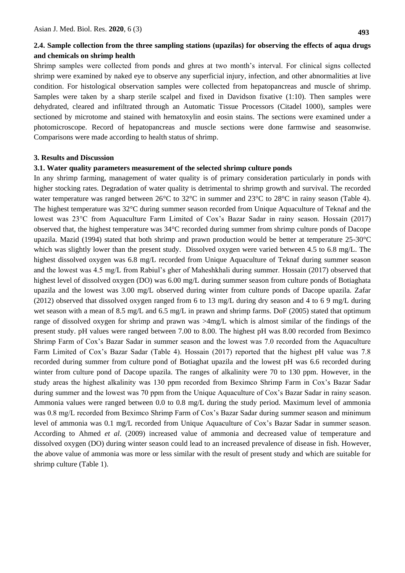## **2.4. Sample collection from the three sampling stations (upazilas) for observing the effects of aqua drugs and chemicals on shrimp health**

Shrimp samples were collected from ponds and ghres at two month's interval. For clinical signs collected shrimp were examined by naked eye to observe any superficial injury, infection, and other abnormalities at live condition. For histological observation samples were collected from hepatopancreas and muscle of shrimp. Samples were taken by a sharp sterile scalpel and fixed in Davidson fixative (1:10). Then samples were dehydrated, cleared and infiltrated through an Automatic Tissue Processors (Citadel 1000), samples were sectioned by microtome and stained with hematoxylin and eosin stains. The sections were examined under a photomicroscope. Record of hepatopancreas and muscle sections were done farmwise and seasonwise. Comparisons were made according to health status of shrimp.

#### **3. Results and Discussion**

#### **3.1. Water quality parameters measurement of the selected shrimp culture ponds**

In any shrimp farming, management of water quality is of primary consideration particularly in ponds with higher stocking rates. Degradation of water quality is detrimental to shrimp growth and survival. The recorded water temperature was ranged between 26°C to 32°C in summer and 23°C to 28°C in rainy season (Table 4). The highest temperature was 32°C during summer season recorded from Unique Aquaculture of Teknaf and the lowest was 23°C from Aquaculture Farm Limited of Cox's Bazar Sadar in rainy season. Hossain (2017) observed that, the highest temperature was 34°C recorded during summer from shrimp culture ponds of Dacope upazila. Mazid (1994) stated that both shrimp and prawn production would be better at temperature 25-30°C which was slightly lower than the present study. Dissolved oxygen were varied between 4.5 to 6.8 mg/L. The highest dissolved oxygen was 6.8 mg/L recorded from Unique Aquaculture of Teknaf during summer season and the lowest was 4.5 mg/L from Rabiul's gher of Maheshkhali during summer. Hossain (2017) observed that highest level of dissolved oxygen (DO) was 6.00 mg/L during summer season from culture ponds of Botiaghata upazila and the lowest was 3.00 mg/L observed during winter from culture ponds of Dacope upazila. Zafar (2012) observed that dissolved oxygen ranged from 6 to 13 mg/L during dry season and 4 to 6 9 mg/L during wet season with a mean of 8.5 mg/L and 6.5 mg/L in prawn and shrimp farms. DoF (2005) stated that optimum range of dissolved oxygen for shrimp and prawn was >4mg/L which is almost similar of the findings of the present study. pH values were ranged between 7.00 to 8.00. The highest pH was 8.00 recorded from Beximco Shrimp Farm of Cox's Bazar Sadar in summer season and the lowest was 7.0 recorded from the Aquaculture Farm Limited of Cox's Bazar Sadar (Table 4). Hossain (2017) reported that the highest pH value was 7.8 recorded during summer from culture pond of Botiaghat upazila and the lowest pH was 6.6 recorded during winter from culture pond of Dacope upazila. The ranges of alkalinity were 70 to 130 ppm. However, in the study areas the highest alkalinity was 130 ppm recorded from Beximco Shrimp Farm in Cox's Bazar Sadar during summer and the lowest was 70 ppm from the Unique Aquaculture of Cox's Bazar Sadar in rainy season. Ammonia values were ranged between 0.0 to 0.8 mg/L during the study period. Maximum level of ammonia was 0.8 mg/L recorded from Beximco Shrimp Farm of Cox's Bazar Sadar during summer season and minimum level of ammonia was 0.1 mg/L recorded from Unique Aquaculture of Cox's Bazar Sadar in summer season. According to Ahmed *et al*. (2009) increased value of ammonia and decreased value of temperature and dissolved oxygen (DO) during winter season could lead to an increased prevalence of disease in fish. However, the above value of ammonia was more or less similar with the result of present study and which are suitable for shrimp culture (Table 1).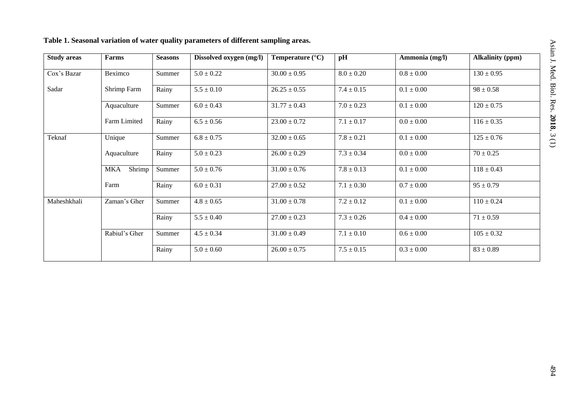| <b>Study areas</b> | Farms                | <b>Seasons</b> | Dissolved oxygen (mg/l) | Temperature $(^{\circ}C)$ | pH             | Ammonia (mg/l) | <b>Alkalinity (ppm)</b> |
|--------------------|----------------------|----------------|-------------------------|---------------------------|----------------|----------------|-------------------------|
| Cox's Bazar        | Beximco              | Summer         | $5.0 \pm 0.22$          | $30.00 \pm 0.95$          | $8.0 \pm 0.20$ | $0.8 \pm 0.00$ | $130 \pm 0.95$          |
| Sadar              | Shrimp Farm          | Rainy          | $5.5 \pm 0.10$          | $26.25 \pm 0.55$          | $7.4 \pm 0.15$ | $0.1 \pm 0.00$ | $98 \pm 0.58$           |
|                    | Aquaculture          | Summer         | $6.0 \pm 0.43$          | $31.77 \pm 0.43$          | $7.0 \pm 0.23$ | $0.1 \pm 0.00$ | $120 \pm 0.75$          |
|                    | Farm Limited         | Rainy          | $6.5 \pm 0.56$          | $23.00 \pm 0.72$          | $7.1 \pm 0.17$ | $0.0 \pm 0.00$ | $116 \pm 0.35$          |
| Teknaf             | Unique               | Summer         | $6.8 \pm 0.75$          | $32.00 \pm 0.65$          | $7.8 \pm 0.21$ | $0.1 \pm 0.00$ | $125 \pm 0.76$          |
|                    | Aquaculture          | Rainy          | $5.0 \pm 0.23$          | $26.00 \pm 0.29$          | $7.3 \pm 0.34$ | $0.0 \pm 0.00$ | $70 \pm 0.25$           |
|                    | <b>MKA</b><br>Shrimp | Summer         | $5.0 \pm 0.76$          | $31.00 \pm 0.76$          | $7.8 \pm 0.13$ | $0.1 \pm 0.00$ | $118 \pm 0.43$          |
|                    | Farm                 | Rainy          | $6.0 \pm 0.31$          | $27.00 \pm 0.52$          | $7.1 \pm 0.30$ | $0.7 \pm 0.00$ | $95 \pm 0.79$           |
| Maheshkhali        | Zaman's Gher         | Summer         | $4.8 \pm 0.65$          | $31.00 \pm 0.78$          | $7.2 \pm 0.12$ | $0.1 \pm 0.00$ | $110 \pm 0.24$          |
|                    |                      | Rainy          | $5.5 \pm 0.40$          | $27.00 \pm 0.23$          | $7.3 \pm 0.26$ | $0.4 \pm 0.00$ | $71 \pm 0.59$           |
|                    | Rabiul's Gher        | Summer         | $4.5 \pm 0.34$          | $31.00 \pm 0.49$          | $7.1 \pm 0.10$ | $0.6 \pm 0.00$ | $105 \pm 0.32$          |
|                    |                      | Rainy          | $5.0 \pm 0.60$          | $26.00 \pm 0.75$          | $7.5 \pm 0.15$ | $0.3 \pm 0.00$ | $83 \pm 0.89$           |

## **Table 1. Seasonal variation of water quality parameters of different sampling areas.**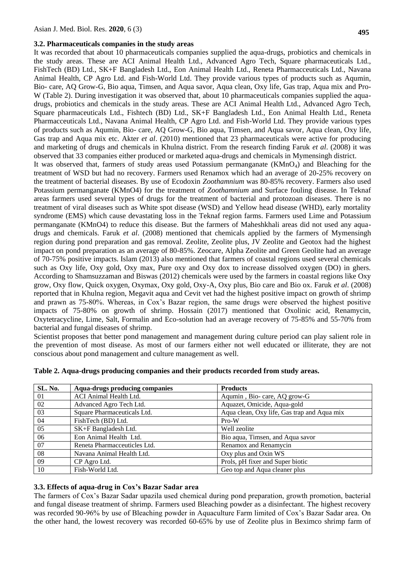It was recorded that about 10 pharmaceuticals companies supplied the aqua-drugs, probiotics and chemicals in the study areas. These are ACI Animal Health Ltd., Advanced Agro Tech, Square pharmaceuticals Ltd., FishTech (BD) Ltd., SK+F Bangladesh Ltd., Eon Animal Health Ltd., Reneta Pharmacceuticals Ltd., Navana Animal Health, CP Agro Ltd. and Fish-World Ltd. They provide various types of products such as Aqumin, Bio- care, AQ Grow-G, Bio aqua, Timsen, and Aqua savor, Aqua clean, Oxy life, Gas trap, Aqua mix and Pro-W (Table 2). During investigation it was observed that, about 10 pharmaceuticals companies supplied the aquadrugs, probiotics and chemicals in the study areas. These are ACI Animal Health Ltd., Advanced Agro Tech, Square pharmaceuticals Ltd., Fishtech (BD) Ltd., SK+F Bangladesh Ltd., Eon Animal Health Ltd., Reneta Pharmacceuticals Ltd., Navana Animal Health, CP Agro Ltd. and Fish-World Ltd. They provide various types of products such as Aqumin, Bio- care, AQ Grow-G, Bio aqua, Timsen, and Aqua savor, Aqua clean, Oxy life, Gas trap and Aqua mix etc. Akter *et al*. (2010) mentioned that 23 pharmaceuticals were active for producing and marketing of drugs and chemicals in Khulna district. From the research finding Faruk *et al*. (2008) it was observed that 33 companies either produced or marketed aqua-drugs and chemicals in Mymensingh district. It was observed that, farmers of study areas used Potassium permanganate  $(KMnO<sub>4</sub>)$  and Bleaching for the treatment of WSD but had no recovery. Farmers used Renamox which had an average of 20-25% recovery on the treatment of bacterial diseases. By use of Ecodoxin *Zoothamnium* was 80-85% recovery. Farmers also used Potassium permanganate (KMnO4) for the treatment of *Zoothamnium* and Surface fouling disease. In Teknaf areas farmers used several types of drugs for the treatment of bacterial and protozoan diseases. There is no treatment of viral diseases such as White spot disease (WSD) and Yellow head disease (WHD), early mortality syndrome (EMS) which cause devastating loss in the Teknaf region farms. Farmers used Lime and Potassium permanganate (KMnO4) to reduce this disease. But the farmers of Maheshkhali areas did not used any aquadrugs and chemicals. Faruk *et al*. (2008) mentioned that chemicals applied by the farmers of Mymensingh region during pond preparation and gas removal. Zeolite, Zeolite plus, JV Zeolite and Geotox had the highest impact on pond preparation as an average of 80-85%. Zeocare, Alpha Zeolite and Green Geolite had an average of 70-75% positive impacts. Islam (2013) also mentioned that farmers of coastal regions used several chemicals such as Oxy life, Oxy gold, Oxy max, Pure oxy and Oxy dox to increase dissolved oxygen (DO) in ghers. According to Shamsuzzaman and Biswas (2012) chemicals were used by the farmers in coastal regions like Oxy grow, Oxy flow, Quick oxygen, Oxymax, Oxy gold, Oxy-A, Oxy plus, Bio care and Bio ox. Faruk *et al*. (2008) reported that in Khulna region, Megavit aqua and Cevit vet had the highest positive impact on growth of shrimp and prawn as 75-80%. Whereas, in Cox's Bazar region, the same drugs were observed the highest positive impacts of 75-80% on growth of shrimp. Hossain (2017) mentioned that Oxolinic acid, Renamycin, Oxytetracycline, Lime, Salt, Formalin and Eco-solution had an average recovery of 75-85% and 55-70% from bacterial and fungal diseases of shrimp.

Scientist proposes that better pond management and management during culture period can play salient role in the prevention of most disease. As most of our farmers either not well educated or illiterate, they are not conscious about pond management and culture management as well.

| SL. No. | <b>Aqua-drugs producing companies</b> | <b>Products</b>                             |
|---------|---------------------------------------|---------------------------------------------|
| 01      | ACI Animal Health Ltd.                | Aqumin, Bio-care, AQ grow-G                 |
| 02      | Advanced Agro Tech Ltd.               | Aquazet, Omicide, Aqua-gold                 |
| 03      | Square Pharmaceuticals Ltd.           | Aqua clean, Oxy life, Gas trap and Aqua mix |
| 04      | FishTech (BD) Ltd.                    | Pro-W                                       |
| 05      | SK+F Bangladesh Ltd.                  | Well zeolite                                |
| 06      | Eon Animal Health Ltd.                | Bio aqua, Timsen, and Aqua savor            |
| 07      | Reneta Pharmacceuticles Ltd.          | Renamox and Renamycin                       |
| 08      | Navana Animal Health Ltd.             | Oxy plus and Oxin WS                        |
| 09      | CP Agro Ltd.                          | Prols, pH fixer and Super biotic            |
| 10      | Fish-World Ltd.                       | Geo top and Aqua cleaner plus               |

**Table 2. Aqua-drugs producing companies and their products recorded from study areas.**

### **3.3. Effects of aqua-drug in Cox's Bazar Sadar area**

The farmers of Cox's Bazar Sadar upazila used chemical during pond preparation, growth promotion, bacterial and fungal disease treatment of shrimp. Farmers used Bleaching powder as a disinfectant. The highest recovery was recorded 90-96% by use of Bleaching powder in Aquaculture Farm limited of Cox's Bazar Sadar area. On the other hand, the lowest recovery was recorded 60-65% by use of Zeolite plus in Beximco shrimp farm of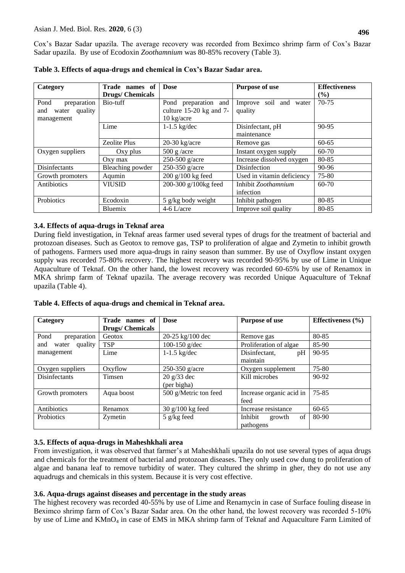Cox's Bazar Sadar upazila. The average recovery was recorded from Beximco shrimp farm of Cox's Bazar Sadar upazila. By use of Ecodoxin *Zoothamnium* was 80-85% recovery (Table 3).

| Category                | Trade names of         | <b>Dose</b>             | <b>Purpose of use</b>      | <b>Effectiveness</b> |  |  |
|-------------------------|------------------------|-------------------------|----------------------------|----------------------|--|--|
|                         | <b>Drugs/Chemicals</b> |                         |                            | $($ %)               |  |  |
| Pond<br>preparation     | Bio-tuff               | Pond preparation and    | soil and water<br>Improve  | $70-75$              |  |  |
| quality<br>and<br>water |                        | culture 15-20 kg and 7- | quality                    |                      |  |  |
| management              |                        | $10 \text{ kg/acre}$    |                            |                      |  |  |
|                         | Lime                   | $1-1.5$ kg/dec          | Disinfectant, pH           | 90-95                |  |  |
|                         |                        |                         | maintenance                |                      |  |  |
|                         | <b>Zeolite Plus</b>    | $20-30$ kg/acre         | Remove gas                 | $60 - 65$            |  |  |
| Oxygen suppliers        | Oxy plus               | $500$ g /acre           | Instant oxygen supply      | $60 - 70$            |  |  |
|                         | $Oxy$ max              | $250-500$ g/acre        | Increase dissolved oxygen  | 80-85                |  |  |
| Disinfectants           | Bleaching powder       | 250-350 g/acre          | Disinfection               | 90-96                |  |  |
| Growth promoters        | Aqumin                 | 200 g/100 kg feed       | Used in vitamin deficiency | 75-80                |  |  |
| Antibiotics             | <b>VIUSID</b>          | 200-300 g/100kg feed    | Inhibit Zoothamnium        | 60-70                |  |  |
|                         |                        |                         | infection                  |                      |  |  |
| Probiotics<br>Ecodoxin  |                        | $5$ g/kg body weight    | Inhibit pathogen           | 80-85                |  |  |
|                         | Bluemix                | $4-6$ L/acre            | Improve soil quality       | 80-85                |  |  |

**Table 3. Effects of aqua-drugs and chemical in Cox's Bazar Sadar area.**

## **3.4. Effects of aqua-drugs in Teknaf area**

During field investigation, in Teknaf areas farmer used several types of drugs for the treatment of bacterial and protozoan diseases. Such as Geotox to remove gas, TSP to proliferation of algae and Zymetin to inhibit growth of pathogens. Farmers used more aqua-drugs in rainy season than summer. By use of Oxyflow instant oxygen supply was recorded 75-80% recovery. The highest recovery was recorded 90-95% by use of Lime in Unique Aquaculture of Teknaf. On the other hand, the lowest recovery was recorded 60-65% by use of Renamox in MKA shrimp farm of Teknaf upazila. The average recovery was recorded Unique Aquaculture of Teknaf upazila (Table 4).

**Table 4. Effects of aqua-drugs and chemical in Teknaf area.**

| Category                | Trade names of         | <b>Dose</b>                  | <b>Purpose of use</b>                | Effectiveness $(\% )$ |  |
|-------------------------|------------------------|------------------------------|--------------------------------------|-----------------------|--|
|                         | <b>Drugs/Chemicals</b> |                              |                                      |                       |  |
| Pond<br>preparation     | Geotox                 | 20-25 kg/100 dec             | Remove gas                           | 80-85                 |  |
| quality<br>and<br>water | <b>TSP</b>             | 100-150 $g/dec$              | Proliferation of algae               | 85-90                 |  |
| management              | Lime                   | $1-1.5$ kg/dec               | Disinfectant,<br>pH<br>maintain      | $90 - 95$             |  |
| Oxygen suppliers        | Oxyflow                | 250-350 g/acre               | Oxygen supplement                    | 75-80                 |  |
| <b>Disinfectants</b>    | Timsen                 | $20 g/33$ dec<br>(per bigha) | Kill microbes                        | 90-92                 |  |
| Growth promoters        | Aqua boost             | 500 g/Metric ton feed        | Increase organic acid in<br>feed     | 75-85                 |  |
| Antibiotics             | Renamox                | $30$ g/100 kg feed           | Increase resistance                  | $60 - 65$             |  |
| Probiotics              | Zymetin                | 5 g/kg feed                  | of<br>Inhibit<br>growth<br>pathogens | 80-90                 |  |

## **3.5. Effects of aqua-drugs in Maheshkhali area**

From investigation, it was observed that farmer's at Maheshkhali upazila do not use several types of aqua drugs and chemicals for the treatment of bacterial and protozoan diseases. They only used cow dung to proliferation of algae and banana leaf to remove turbidity of water. They cultured the shrimp in gher, they do not use any aquadrugs and chemicals in this system. Because it is very cost effective.

## **3.6. Aqua-drugs against diseases and percentage in the study areas**

The highest recovery was recorded 40-55% by use of Lime and Renamycin in case of Surface fouling disease in Beximco shrimp farm of Cox's Bazar Sadar area. On the other hand, the lowest recovery was recorded 5-10% by use of Lime and KMnO<sub>4</sub> in case of EMS in MKA shrimp farm of Teknaf and Aquaculture Farm Limited of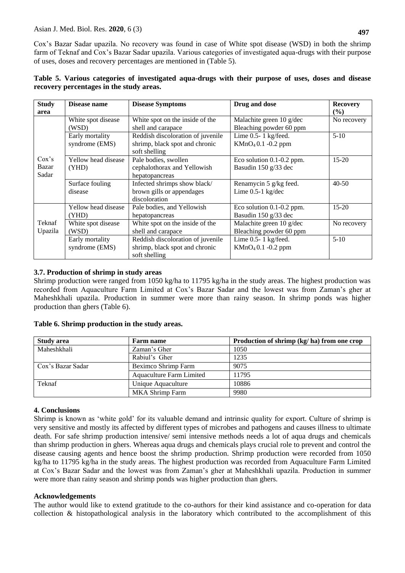Cox's Bazar Sadar upazila. No recovery was found in case of White spot disease (WSD) in both the shrimp farm of Teknaf and Cox's Bazar Sadar upazila. Various categories of investigated aqua-drugs with their purpose of uses, doses and recovery percentages are mentioned in (Table 5).

| <b>Study</b> | Disease name        | <b>Disease Symptoms</b>           | Drug and dose                   | <b>Recovery</b> |
|--------------|---------------------|-----------------------------------|---------------------------------|-----------------|
| area         |                     |                                   |                                 | $($ %)          |
|              | White spot disease  | White spot on the inside of the   | Malachite green 10 g/dec        | No recovery     |
|              | (WSD)               | shell and carapace                | Bleaching powder 60 ppm         |                 |
|              | Early mortality     | Reddish discoloration of juvenile | Lime 0.5-1 kg/feed.             | $5-10$          |
|              | syndrome (EMS)      | shrimp, black spot and chronic    | $KMnO4 0.1 -0.2$ ppm            |                 |
|              |                     | soft shelling                     |                                 |                 |
| $\cos$ 's    | Yellow head disease | Pale bodies, swollen              | Eco solution $0.1$ - $0.2$ ppm. | $15 - 20$       |
| Bazar        | (YHD)               | cephalothorax and Yellowish       | Basudin 150 g/33 dec            |                 |
| Sadar        |                     | hepatopancreas                    |                                 |                 |
|              | Surface fouling     | Infected shrimps show black/      | Renamycin 5 g/kg feed.          | $40 - 50$       |
|              | disease             | brown gills or appendages         | Lime $0.5$ -1 kg/dec            |                 |
|              |                     | discoloration                     |                                 |                 |
|              | Yellow head disease | Pale bodies, and Yellowish        | Eco solution $0.1$ -0.2 ppm.    | $15-20$         |
|              | (YHD)               | hepatopancreas                    | Basudin 150 g/33 dec            |                 |
| Teknaf       | White spot disease  | White spot on the inside of the   | Malachite green 10 g/dec        | No recovery     |
| Upazila      | (WSD)               | shell and carapace                | Bleaching powder 60 ppm         |                 |
|              | Early mortality     | Reddish discoloration of juvenile | Lime 0.5-1 kg/feed.             | $5-10$          |
|              | syndrome (EMS)      | shrimp, black spot and chronic    | $KMnO4 0.1 -0.2$ ppm            |                 |
|              |                     | soft shelling                     |                                 |                 |

|  |                                          |  | Table 5. Various categories of investigated aqua-drugs with their purpose of uses, doses and disease |  |  |  |  |
|--|------------------------------------------|--|------------------------------------------------------------------------------------------------------|--|--|--|--|
|  | recovery percentages in the study areas. |  |                                                                                                      |  |  |  |  |

## **3.7. Production of shrimp in study areas**

Shrimp production were ranged from 1050 kg/ha to 11795 kg/ha in the study areas. The highest production was recorded from Aquaculture Farm Limited at Cox's Bazar Sadar and the lowest was from Zaman's gher at Maheshkhali upazila. Production in summer were more than rainy season. In shrimp ponds was higher production than ghers (Table 6).

### **Table 6. Shrimp production in the study areas.**

| <b>Study area</b>            | Farm name                | Production of shrimp (kg/ha) from one crop |  |  |
|------------------------------|--------------------------|--------------------------------------------|--|--|
| Maheshkhali                  | Zaman's Gher             | 1050                                       |  |  |
|                              | Rabiul's Gher            | 1235                                       |  |  |
| Cox's Bazar Sadar            | Beximco Shrimp Farm      | 9075                                       |  |  |
|                              | Aquaculture Farm Limited | 11795                                      |  |  |
| Teknaf<br>Unique Aquaculture |                          | 10886                                      |  |  |
|                              | <b>MKA</b> Shrimp Farm   | 9980                                       |  |  |

### **4. Conclusions**

Shrimp is known as 'white gold' for its valuable demand and intrinsic quality for export. Culture of shrimp is very sensitive and mostly its affected by different types of microbes and pathogens and causes illness to ultimate death. For safe shrimp production intensive/ semi intensive methods needs a lot of aqua drugs and chemicals than shrimp production in ghers. Whereas aqua drugs and chemicals plays crucial role to prevent and control the disease causing agents and hence boost the shrimp production. Shrimp production were recorded from 1050 kg/ha to 11795 kg/ha in the study areas. The highest production was recorded from Aquaculture Farm Limited at Cox's Bazar Sadar and the lowest was from Zaman's gher at Maheshkhali upazila. Production in summer were more than rainy season and shrimp ponds was higher production than ghers.

### **Acknowledgements**

The author would like to extend gratitude to the co-authors for their kind assistance and co-operation for data collection & histopathological analysis in the laboratory which contributed to the accomplishment of this